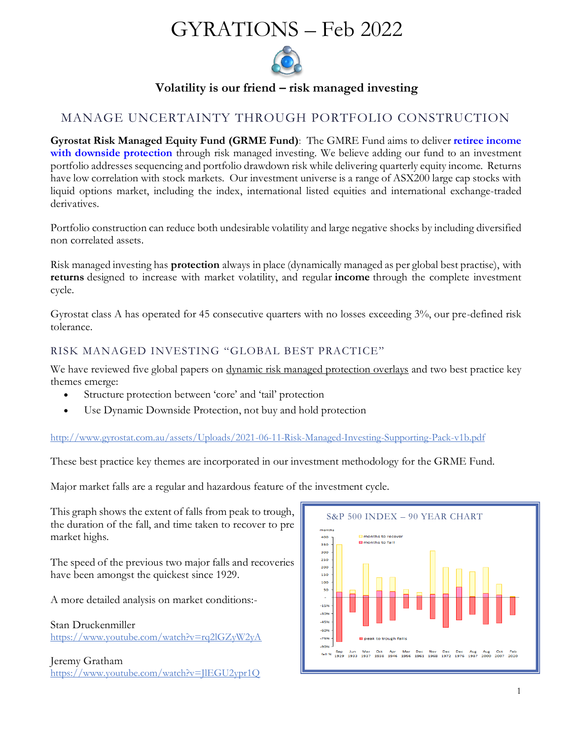# GYRATIONS – Feb 2022



**Volatility is our friend – risk managed investing**

## MANAGE UNCERTAINTY THROUGH PORTFOLIO CONSTRUCTION

**Gyrostat Risk Managed Equity Fund (GRME Fund)**: The GMRE Fund aims to deliver **retiree income with downside protection** through risk managed investing. We believe adding our fund to an investment portfolio addresses sequencing and portfolio drawdown risk while delivering quarterly equity income. Returns have low correlation with stock markets. Our investment universe is a range of ASX200 large cap stocks with liquid options market, including the index, international listed equities and international exchange-traded derivatives.

Portfolio construction can reduce both undesirable volatility and large negative shocks by including diversified non correlated assets.

Risk managed investing has **protection** always in place (dynamically managed as per global best practise), with **returns** designed to increase with market volatility, and regular **income** through the complete investment cycle.

Gyrostat class A has operated for 45 consecutive quarters with no losses exceeding 3%, our pre-defined risk tolerance.

## RISK MANAGED INVESTING "GLOBAL BEST PRACTICE"

We have reviewed five global papers on [dynamic risk managed protection overlays](http://www.gyrostat.com.au/news/risk-managed-investing-global-best-practice-supporting-pack/) and two best practice key themes emerge:

- Structure protection between 'core' and 'tail' protection
- Use Dynamic Downside Protection, not buy and hold protection

<http://www.gyrostat.com.au/assets/Uploads/2021-06-11-Risk-Managed-Investing-Supporting-Pack-v1b.pdf>

These best practice key themes are incorporated in our investment methodology for the GRME Fund.

Major market falls are a regular and hazardous feature of the investment cycle.

This graph shows the extent of falls from peak to trough, the duration of the fall, and time taken to recover to pre market highs.

The speed of the previous two major falls and recoveries have been amongst the quickest since 1929.

A more detailed analysis on market conditions:-

Stan Druckenmiller <https://www.youtube.com/watch?v=rq2lGZyW2yA>

Jeremy Gratham <https://www.youtube.com/watch?v=JlEGU2ypr1Q>

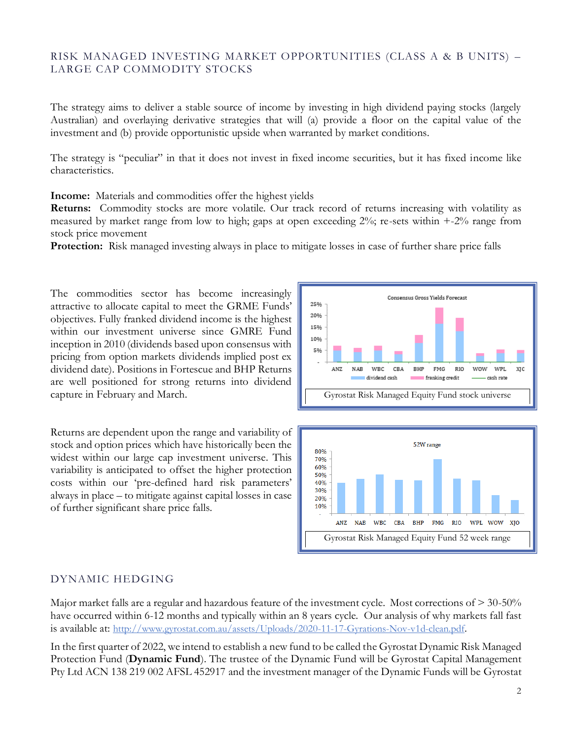## RISK MANAGED INVESTING MARKET OPPORTUNITIES (CLASS A & B UNITS) – LARGE CAP COMMODITY STOCKS

The strategy aims to deliver a stable source of income by investing in high dividend paying stocks (largely Australian) and overlaying derivative strategies that will (a) provide a floor on the capital value of the investment and (b) provide opportunistic upside when warranted by market conditions.

The strategy is "peculiar" in that it does not invest in fixed income securities, but it has fixed income like characteristics.

**Income:** Materials and commodities offer the highest yields

**Returns:** Commodity stocks are more volatile. Our track record of returns increasing with volatility as measured by market range from low to high; gaps at open exceeding 2%; re-sets within +-2% range from stock price movement

**Protection:** Risk managed investing always in place to mitigate losses in case of further share price falls

The commodities sector has become increasingly attractive to allocate capital to meet the GRME Funds' objectives. Fully franked dividend income is the highest within our investment universe since GMRE Fund inception in 2010 (dividends based upon consensus with pricing from option markets dividends implied post ex dividend date). Positions in Fortescue and BHP Returns are well positioned for strong returns into dividend capture in February and March.

Returns are dependent upon the range and variability of stock and option prices which have historically been the widest within our large cap investment universe. This variability is anticipated to offset the higher protection costs within our 'pre-defined hard risk parameters' always in place – to mitigate against capital losses in case of further significant share price falls.





## DYNAMIC HEDGING

Major market falls are a regular and hazardous feature of the investment cycle. Most corrections of > 30-50% have occurred within 6-12 months and typically within an 8 years cycle. Our analysis of why markets fall fast is available at: <http://www.gyrostat.com.au/assets/Uploads/2020-11-17-Gyrations-Nov-v1d-clean.pdf>.

In the first quarter of 2022, we intend to establish a new fund to be called the Gyrostat Dynamic Risk Managed Protection Fund (**Dynamic Fund**). The trustee of the Dynamic Fund will be Gyrostat Capital Management Pty Ltd ACN 138 219 002 AFSL 452917 and the investment manager of the Dynamic Funds will be Gyrostat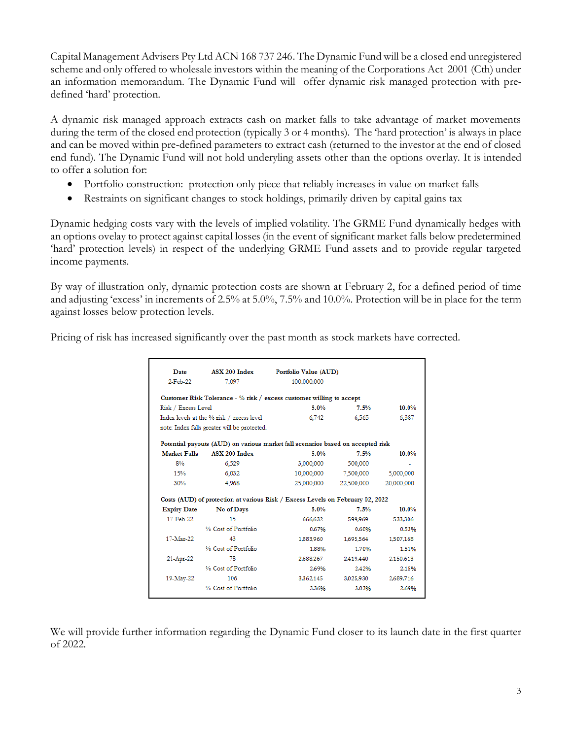Capital Management Advisers Pty Ltd ACN 168 737 246. The Dynamic Fund will be a closed end unregistered scheme and only offered to wholesale investors within the meaning of the Corporations Act 2001 (Cth) under an information memorandum. The Dynamic Fund will offer dynamic risk managed protection with predefined 'hard' protection.

A dynamic risk managed approach extracts cash on market falls to take advantage of market movements during the term of the closed end protection (typically 3 or 4 months). The 'hard protection' is always in place and can be moved within pre-defined parameters to extract cash (returned to the investor at the end of closed end fund). The Dynamic Fund will not hold underyling assets other than the options overlay. It is intended to offer a solution for:

- Portfolio construction: protection only piece that reliably increases in value on market falls
- Restraints on significant changes to stock holdings, primarily driven by capital gains tax

Dynamic hedging costs vary with the levels of implied volatility. The GRME Fund dynamically hedges with an options ovelay to protect against capital losses (in the event of significant market falls below predetermined 'hard' protection levels) in respect of the underlying GRME Fund assets and to provide regular targeted income payments.

By way of illustration only, dynamic protection costs are shown at February 2, for a defined period of time and adjusting 'excess' in increments of 2.5% at 5.0%, 7.5% and 10.0%. Protection will be in place for the term against losses below protection levels.

Pricing of risk has increased significantly over the past month as stock markets have corrected.

| Date                                      | ASX 200 Index                                                                   | Portfolio Value (AUD) |            |            |
|-------------------------------------------|---------------------------------------------------------------------------------|-----------------------|------------|------------|
| 2-Feb-22                                  | 7.097                                                                           | 100,000,000           |            |            |
|                                           | Customer Risk Tolerance - $\%$ risk / excess customer willing to accept         |                       |            |            |
| Risk / Excess Level                       |                                                                                 | 5.0%                  | 7.5%       | $10.0\%$   |
| Index levels at the % risk / excess level |                                                                                 | 6.742                 | 6.565      | 6.387      |
|                                           | note: Index falls greater will be protected.                                    |                       |            |            |
|                                           | Potential payouts (AUD) on various market fall scenarios based on accepted risk |                       |            |            |
| <b>Market Falls</b>                       | ASX 200 Index                                                                   | 5.0%                  | 7.5%       | 10.0%      |
| 8%                                        | 6,529                                                                           | 3,000,000             | 500,000    |            |
| 15%                                       | 6.032                                                                           | 10,000,000            | 7,500,000  | 5,000,000  |
| 30%                                       | 4.968                                                                           | 25.000.000            | 22.500.000 | 20,000,000 |
|                                           | Costs (AUD) of protection at various Risk / Excess Levels on February 02, 2022  |                       |            |            |
| <b>Expiry Date</b>                        | No of Days                                                                      | 5.0%                  | 7.5%       | 10.0%      |
| 17-Feb-22                                 | 15                                                                              | 666,632               | 599.969    | 533,306    |
|                                           | % Cost of Portfolio                                                             | 0.67%                 | 0.60%      | 0.53%      |
| 17-Mar-22                                 | 43                                                                              | 1,883,960             | 1,695,564  | 1,507,168  |
|                                           | % Cost of Portfolio                                                             | 1.88%                 | 1.70%      | 1.51%      |
| 21-Apr-22                                 | 78                                                                              | 2,688,267             | 2,419,440  | 2.150.613  |
|                                           | % Cost of Portfolio                                                             | 2.69%                 | 2.42%      | 2.15%      |
|                                           |                                                                                 |                       |            |            |
| 19-May-22                                 | 106                                                                             | 3.362.145             | 3.025.930  | 2,689,716  |

We will provide further information regarding the Dynamic Fund closer to its launch date in the first quarter of 2022.